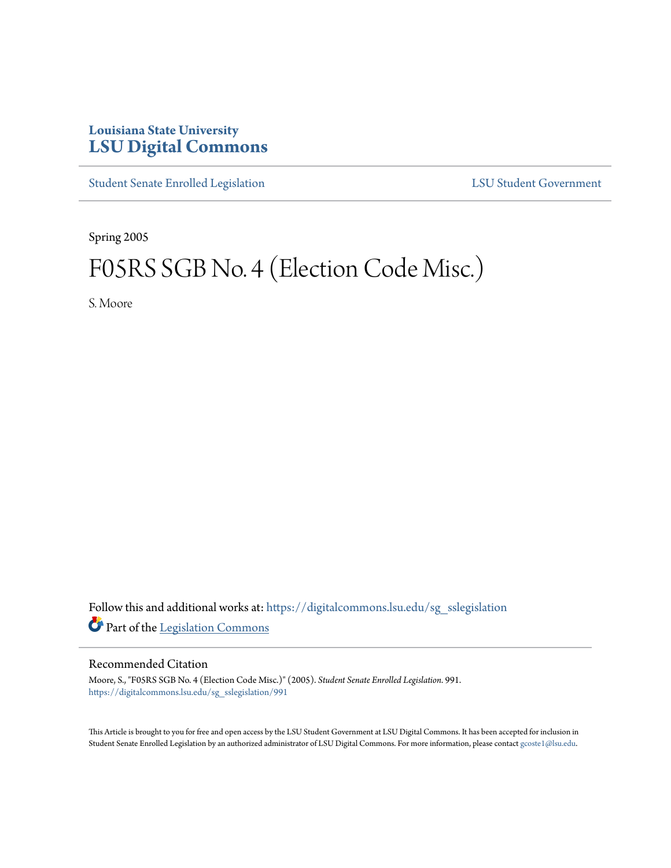## **Louisiana State University [LSU Digital Commons](https://digitalcommons.lsu.edu?utm_source=digitalcommons.lsu.edu%2Fsg_sslegislation%2F991&utm_medium=PDF&utm_campaign=PDFCoverPages)**

[Student Senate Enrolled Legislation](https://digitalcommons.lsu.edu/sg_sslegislation?utm_source=digitalcommons.lsu.edu%2Fsg_sslegislation%2F991&utm_medium=PDF&utm_campaign=PDFCoverPages) [LSU Student Government](https://digitalcommons.lsu.edu/sg?utm_source=digitalcommons.lsu.edu%2Fsg_sslegislation%2F991&utm_medium=PDF&utm_campaign=PDFCoverPages)

Spring 2005

# F05RS SGB No. 4 (Election Code Misc.)

S. Moore

Follow this and additional works at: [https://digitalcommons.lsu.edu/sg\\_sslegislation](https://digitalcommons.lsu.edu/sg_sslegislation?utm_source=digitalcommons.lsu.edu%2Fsg_sslegislation%2F991&utm_medium=PDF&utm_campaign=PDFCoverPages) Part of the [Legislation Commons](http://network.bepress.com/hgg/discipline/859?utm_source=digitalcommons.lsu.edu%2Fsg_sslegislation%2F991&utm_medium=PDF&utm_campaign=PDFCoverPages)

### Recommended Citation

Moore, S., "F05RS SGB No. 4 (Election Code Misc.)" (2005). *Student Senate Enrolled Legislation*. 991. [https://digitalcommons.lsu.edu/sg\\_sslegislation/991](https://digitalcommons.lsu.edu/sg_sslegislation/991?utm_source=digitalcommons.lsu.edu%2Fsg_sslegislation%2F991&utm_medium=PDF&utm_campaign=PDFCoverPages)

This Article is brought to you for free and open access by the LSU Student Government at LSU Digital Commons. It has been accepted for inclusion in Student Senate Enrolled Legislation by an authorized administrator of LSU Digital Commons. For more information, please contact [gcoste1@lsu.edu.](mailto:gcoste1@lsu.edu)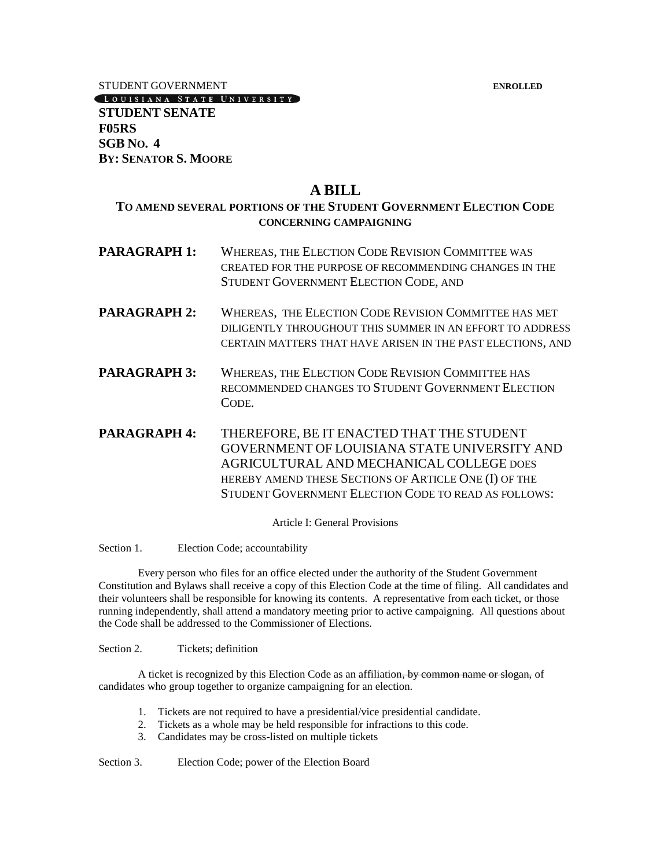STUDENT GOVERNMENT **ENROLLED**

[LOUISIANA STATE UNIVERSITY]

**STUDENT SENATE F05RS SGB NO. 4 BY: SENATOR S. MOORE**

## **A BILL**

## **TO AMEND SEVERAL PORTIONS OF THE STUDENT GOVERNMENT ELECTION CODE CONCERNING CAMPAIGNING**

- **PARAGRAPH 1:** WHEREAS, THE ELECTION CODE REVISION COMMITTEE WAS CREATED FOR THE PURPOSE OF RECOMMENDING CHANGES IN THE STUDENT GOVERNMENT ELECTION CODE, AND
- **PARAGRAPH 2:** WHEREAS, THE ELECTION CODE REVISION COMMITTEE HAS MET DILIGENTLY THROUGHOUT THIS SUMMER IN AN EFFORT TO ADDRESS CERTAIN MATTERS THAT HAVE ARISEN IN THE PAST ELECTIONS, AND
- **PARAGRAPH 3:** WHEREAS, THE ELECTION CODE REVISION COMMITTEE HAS RECOMMENDED CHANGES TO STUDENT GOVERNMENT ELECTION CODE.
- **PARAGRAPH 4:** THEREFORE, BE IT ENACTED THAT THE STUDENT GOVERNMENT OF LOUISIANA STATE UNIVERSITY AND AGRICULTURAL AND MECHANICAL COLLEGE DOES HEREBY AMEND THESE SECTIONS OF ARTICLE ONE (I) OF THE STUDENT GOVERNMENT ELECTION CODE TO READ AS FOLLOWS:

Article I: General Provisions

Section 1. Election Code; accountability

Every person who files for an office elected under the authority of the Student Government Constitution and Bylaws shall receive a copy of this Election Code at the time of filing. All candidates and their volunteers shall be responsible for knowing its contents. A representative from each ticket, or those running independently, shall attend a mandatory meeting prior to active campaigning. All questions about the Code shall be addressed to the Commissioner of Elections.

Section 2. Tickets; definition

A ticket is recognized by this Election Code as an affiliation, by common name or slogan, of candidates who group together to organize campaigning for an election.

- 1. Tickets are not required to have a presidential/vice presidential candidate.
- 2. Tickets as a whole may be held responsible for infractions to this code.
- 3. Candidates may be cross-listed on multiple tickets

Section 3. Election Code; power of the Election Board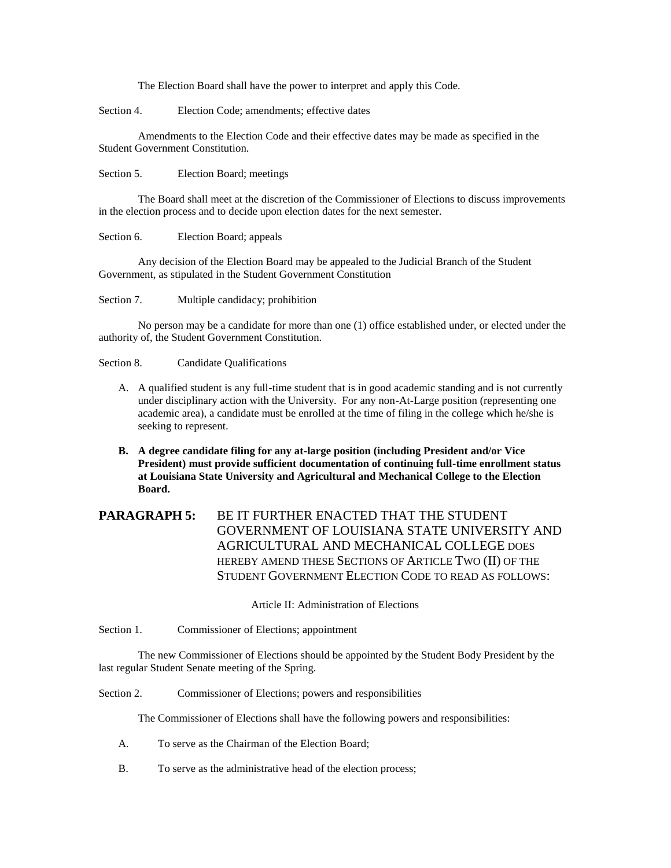The Election Board shall have the power to interpret and apply this Code.

Section 4. Election Code; amendments; effective dates

Amendments to the Election Code and their effective dates may be made as specified in the Student Government Constitution.

Section 5. Election Board; meetings

The Board shall meet at the discretion of the Commissioner of Elections to discuss improvements in the election process and to decide upon election dates for the next semester.

Section 6. Election Board; appeals

Any decision of the Election Board may be appealed to the Judicial Branch of the Student Government, as stipulated in the Student Government Constitution

Section 7. Multiple candidacy; prohibition

No person may be a candidate for more than one (1) office established under, or elected under the authority of, the Student Government Constitution.

Section 8. Candidate Qualifications

- A. A qualified student is any full-time student that is in good academic standing and is not currently under disciplinary action with the University. For any non-At-Large position (representing one academic area), a candidate must be enrolled at the time of filing in the college which he/she is seeking to represent.
- **B. A degree candidate filing for any at-large position (including President and/or Vice President) must provide sufficient documentation of continuing full-time enrollment status at Louisiana State University and Agricultural and Mechanical College to the Election Board.**

## **PARAGRAPH 5:** BE IT FURTHER ENACTED THAT THE STUDENT GOVERNMENT OF LOUISIANA STATE UNIVERSITY AND AGRICULTURAL AND MECHANICAL COLLEGE DOES HEREBY AMEND THESE SECTIONS OF ARTICLE TWO (II) OF THE STUDENT GOVERNMENT ELECTION CODE TO READ AS FOLLOWS:

Article II: Administration of Elections

Section 1. Commissioner of Elections; appointment

The new Commissioner of Elections should be appointed by the Student Body President by the last regular Student Senate meeting of the Spring.

Section 2. Commissioner of Elections; powers and responsibilities

The Commissioner of Elections shall have the following powers and responsibilities:

- A. To serve as the Chairman of the Election Board;
- B. To serve as the administrative head of the election process;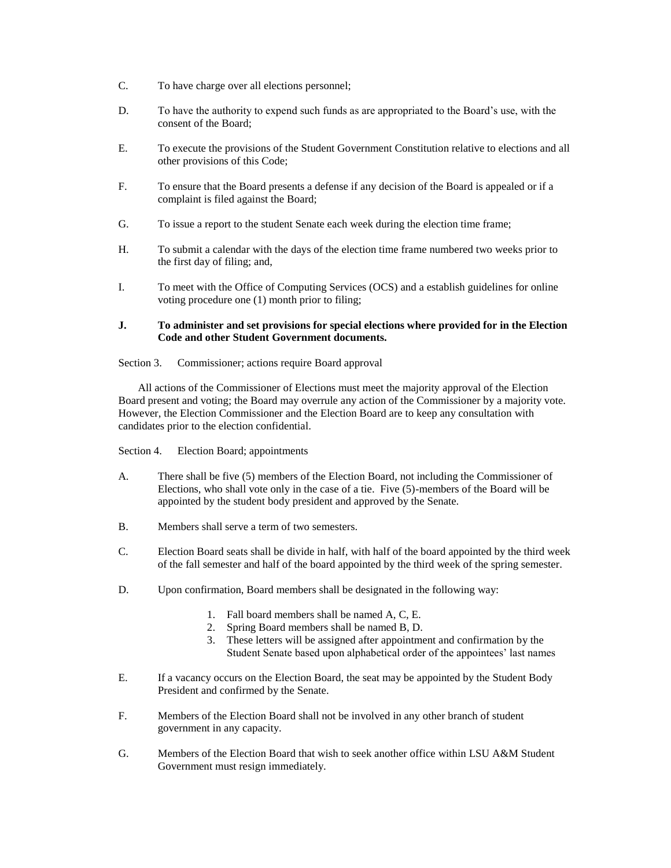- C. To have charge over all elections personnel;
- D. To have the authority to expend such funds as are appropriated to the Board's use, with the consent of the Board;
- E. To execute the provisions of the Student Government Constitution relative to elections and all other provisions of this Code;
- F. To ensure that the Board presents a defense if any decision of the Board is appealed or if a complaint is filed against the Board;
- G. To issue a report to the student Senate each week during the election time frame;
- H. To submit a calendar with the days of the election time frame numbered two weeks prior to the first day of filing; and,
- I. To meet with the Office of Computing Services (OCS) and a establish guidelines for online voting procedure one (1) month prior to filing;

#### **J. To administer and set provisions for special elections where provided for in the Election Code and other Student Government documents.**

Section 3. Commissioner; actions require Board approval

All actions of the Commissioner of Elections must meet the majority approval of the Election Board present and voting; the Board may overrule any action of the Commissioner by a majority vote. However, the Election Commissioner and the Election Board are to keep any consultation with candidates prior to the election confidential.

Section 4. Election Board; appointments

- A. There shall be five (5) members of the Election Board, not including the Commissioner of Elections, who shall vote only in the case of a tie. Five (5)-members of the Board will be appointed by the student body president and approved by the Senate.
- B. Members shall serve a term of two semesters.
- C. Election Board seats shall be divide in half, with half of the board appointed by the third week of the fall semester and half of the board appointed by the third week of the spring semester.
- D. Upon confirmation, Board members shall be designated in the following way:
	- 1. Fall board members shall be named A, C, E.
	- 2. Spring Board members shall be named B, D.
	- 3. These letters will be assigned after appointment and confirmation by the Student Senate based upon alphabetical order of the appointees' last names
- E. If a vacancy occurs on the Election Board, the seat may be appointed by the Student Body President and confirmed by the Senate.
- F. Members of the Election Board shall not be involved in any other branch of student government in any capacity.
- G. Members of the Election Board that wish to seek another office within LSU A&M Student Government must resign immediately.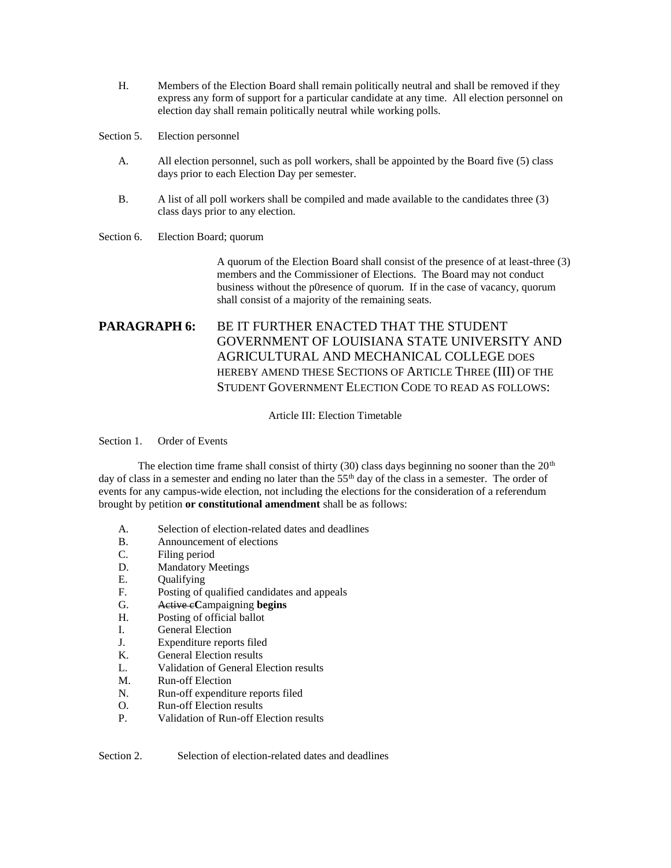- H. Members of the Election Board shall remain politically neutral and shall be removed if they express any form of support for a particular candidate at any time. All election personnel on election day shall remain politically neutral while working polls.
- Section 5. Election personnel
	- A. All election personnel, such as poll workers, shall be appointed by the Board five (5) class days prior to each Election Day per semester.
	- B. A list of all poll workers shall be compiled and made available to the candidates three (3) class days prior to any election.

#### Section 6. Election Board; quorum

A quorum of the Election Board shall consist of the presence of at least-three (3) members and the Commissioner of Elections. The Board may not conduct business without the p0resence of quorum. If in the case of vacancy, quorum shall consist of a majority of the remaining seats.

## **PARAGRAPH 6: BE IT FURTHER ENACTED THAT THE STUDENT** GOVERNMENT OF LOUISIANA STATE UNIVERSITY AND AGRICULTURAL AND MECHANICAL COLLEGE DOES HEREBY AMEND THESE SECTIONS OF ARTICLE THREE (III) OF THE STUDENT GOVERNMENT ELECTION CODE TO READ AS FOLLOWS:

#### Article III: Election Timetable

Section 1. Order of Events

The election time frame shall consist of thirty (30) class days beginning no sooner than the  $20<sup>th</sup>$ day of class in a semester and ending no later than the  $55<sup>th</sup>$  day of the class in a semester. The order of events for any campus-wide election, not including the elections for the consideration of a referendum brought by petition **or constitutional amendment** shall be as follows:

- A. Selection of election-related dates and deadlines
- B. Announcement of elections<br>C. Filing period
- Filing period
- D. Mandatory Meetings
- E. Qualifying
- F. Posting of qualified candidates and appeals
- G. Active c**C**ampaigning **begins**
- H. Posting of official ballot
- I. General Election
- J. Expenditure reports filed
- K. General Election results
- L. Validation of General Election results
- M. Run-off Election
- N. Run-off expenditure reports filed
- O. Run-off Election results
- P. Validation of Run-off Election results

Section 2. Selection of election-related dates and deadlines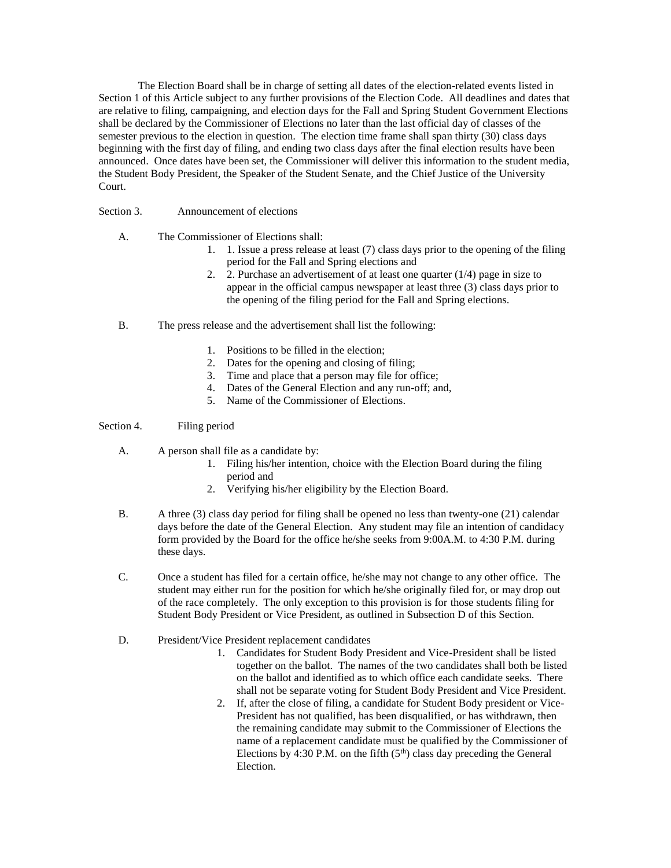The Election Board shall be in charge of setting all dates of the election-related events listed in Section 1 of this Article subject to any further provisions of the Election Code. All deadlines and dates that are relative to filing, campaigning, and election days for the Fall and Spring Student Government Elections shall be declared by the Commissioner of Elections no later than the last official day of classes of the semester previous to the election in question. The election time frame shall span thirty (30) class days beginning with the first day of filing, and ending two class days after the final election results have been announced. Once dates have been set, the Commissioner will deliver this information to the student media, the Student Body President, the Speaker of the Student Senate, and the Chief Justice of the University Court.

#### Section 3. Announcement of elections

- A. The Commissioner of Elections shall:
	- 1. 1. Issue a press release at least (7) class days prior to the opening of the filing period for the Fall and Spring elections and
	- 2. 2. Purchase an advertisement of at least one quarter (1/4) page in size to appear in the official campus newspaper at least three (3) class days prior to the opening of the filing period for the Fall and Spring elections.
- B. The press release and the advertisement shall list the following:
	- 1. Positions to be filled in the election;
	- 2. Dates for the opening and closing of filing;
	- 3. Time and place that a person may file for office;
	- 4. Dates of the General Election and any run-off; and,
	- 5. Name of the Commissioner of Elections.

#### Section 4. Filing period

- A. A person shall file as a candidate by:
	- 1. Filing his/her intention, choice with the Election Board during the filing period and
	- 2. Verifying his/her eligibility by the Election Board.
- B. A three (3) class day period for filing shall be opened no less than twenty-one (21) calendar days before the date of the General Election. Any student may file an intention of candidacy form provided by the Board for the office he/she seeks from 9:00A.M. to 4:30 P.M. during these days.
- C. Once a student has filed for a certain office, he/she may not change to any other office. The student may either run for the position for which he/she originally filed for, or may drop out of the race completely. The only exception to this provision is for those students filing for Student Body President or Vice President, as outlined in Subsection D of this Section.
- D. President/Vice President replacement candidates
	- 1. Candidates for Student Body President and Vice-President shall be listed together on the ballot. The names of the two candidates shall both be listed on the ballot and identified as to which office each candidate seeks. There shall not be separate voting for Student Body President and Vice President.
	- 2. If, after the close of filing, a candidate for Student Body president or Vice-President has not qualified, has been disqualified, or has withdrawn, then the remaining candidate may submit to the Commissioner of Elections the name of a replacement candidate must be qualified by the Commissioner of Elections by 4:30 P.M. on the fifth  $(5<sup>th</sup>)$  class day preceding the General Election.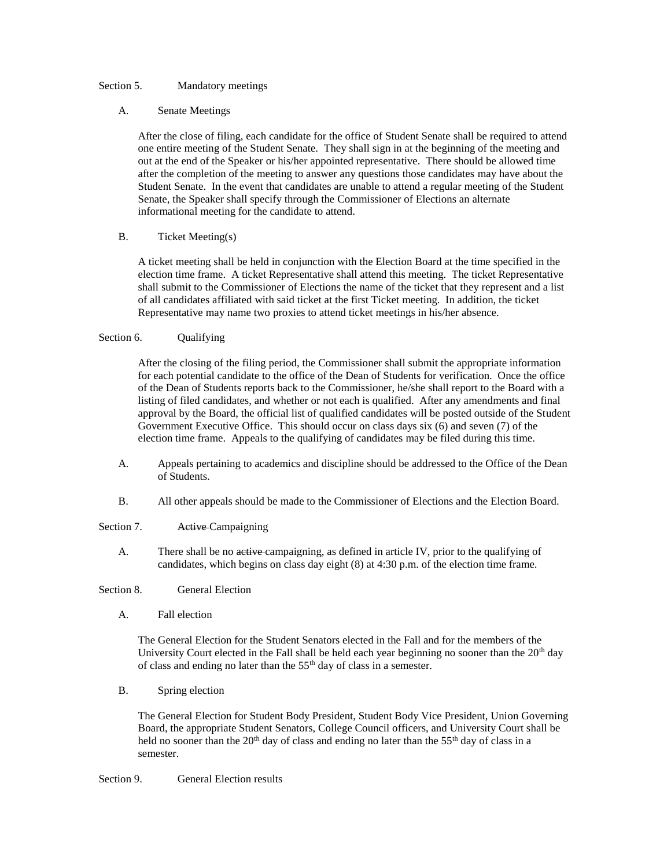#### Section 5. Mandatory meetings

#### A. Senate Meetings

After the close of filing, each candidate for the office of Student Senate shall be required to attend one entire meeting of the Student Senate. They shall sign in at the beginning of the meeting and out at the end of the Speaker or his/her appointed representative. There should be allowed time after the completion of the meeting to answer any questions those candidates may have about the Student Senate. In the event that candidates are unable to attend a regular meeting of the Student Senate, the Speaker shall specify through the Commissioner of Elections an alternate informational meeting for the candidate to attend.

#### B. Ticket Meeting(s)

A ticket meeting shall be held in conjunction with the Election Board at the time specified in the election time frame. A ticket Representative shall attend this meeting. The ticket Representative shall submit to the Commissioner of Elections the name of the ticket that they represent and a list of all candidates affiliated with said ticket at the first Ticket meeting. In addition, the ticket Representative may name two proxies to attend ticket meetings in his/her absence.

#### Section 6. Qualifying

After the closing of the filing period, the Commissioner shall submit the appropriate information for each potential candidate to the office of the Dean of Students for verification. Once the office of the Dean of Students reports back to the Commissioner, he/she shall report to the Board with a listing of filed candidates, and whether or not each is qualified. After any amendments and final approval by the Board, the official list of qualified candidates will be posted outside of the Student Government Executive Office. This should occur on class days six (6) and seven (7) of the election time frame. Appeals to the qualifying of candidates may be filed during this time.

- A. Appeals pertaining to academics and discipline should be addressed to the Office of the Dean of Students.
- B. All other appeals should be made to the Commissioner of Elections and the Election Board.
- Section 7. Active Campaigning
	- A. There shall be no active campaigning, as defined in article IV, prior to the qualifying of candidates, which begins on class day eight (8) at 4:30 p.m. of the election time frame.
- Section 8. General Election
	- A. Fall election

The General Election for the Student Senators elected in the Fall and for the members of the University Court elected in the Fall shall be held each year beginning no sooner than the  $20<sup>th</sup>$  day of class and ending no later than the  $55<sup>th</sup>$  day of class in a semester.

B. Spring election

The General Election for Student Body President, Student Body Vice President, Union Governing Board, the appropriate Student Senators, College Council officers, and University Court shall be held no sooner than the  $20<sup>th</sup>$  day of class and ending no later than the 55<sup>th</sup> day of class in a semester.

Section 9. General Election results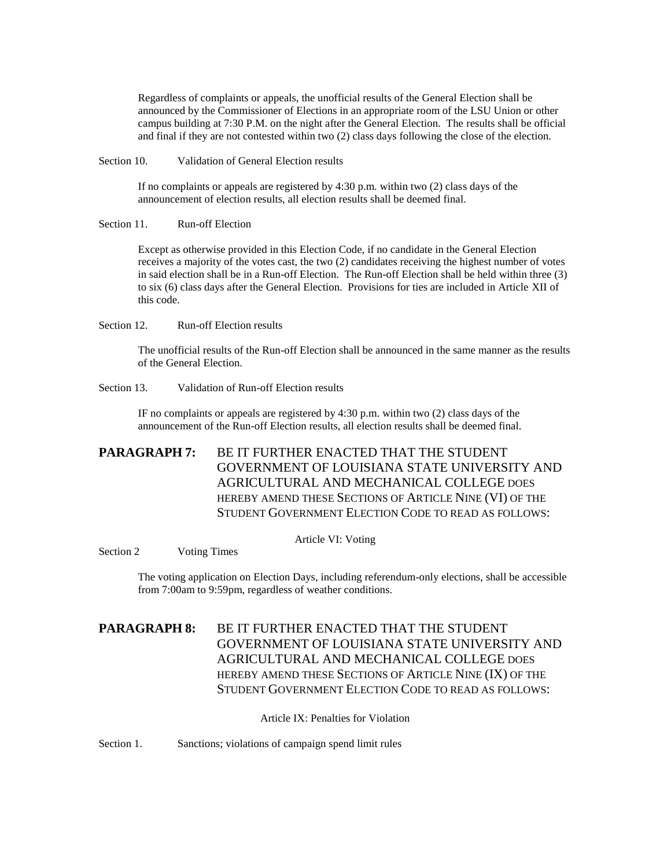Regardless of complaints or appeals, the unofficial results of the General Election shall be announced by the Commissioner of Elections in an appropriate room of the LSU Union or other campus building at 7:30 P.M. on the night after the General Election. The results shall be official and final if they are not contested within two (2) class days following the close of the election.

Section 10. Validation of General Election results

If no complaints or appeals are registered by 4:30 p.m. within two (2) class days of the announcement of election results, all election results shall be deemed final.

Section 11. Run-off Election

Except as otherwise provided in this Election Code, if no candidate in the General Election receives a majority of the votes cast, the two (2) candidates receiving the highest number of votes in said election shall be in a Run-off Election. The Run-off Election shall be held within three (3) to six (6) class days after the General Election. Provisions for ties are included in Article XII of this code.

Section 12. Run-off Election results

The unofficial results of the Run-off Election shall be announced in the same manner as the results of the General Election.

Section 13. Validation of Run-off Election results

IF no complaints or appeals are registered by 4:30 p.m. within two (2) class days of the announcement of the Run-off Election results, all election results shall be deemed final.

**PARAGRAPH 7:** BE IT FURTHER ENACTED THAT THE STUDENT GOVERNMENT OF LOUISIANA STATE UNIVERSITY AND AGRICULTURAL AND MECHANICAL COLLEGE DOES HEREBY AMEND THESE SECTIONS OF ARTICLE NINE (VI) OF THE STUDENT GOVERNMENT ELECTION CODE TO READ AS FOLLOWS:

Article VI: Voting

Section 2 Voting Times

The voting application on Election Days, including referendum-only elections, shall be accessible from 7:00am to 9:59pm, regardless of weather conditions.

**PARAGRAPH 8:** BE IT FURTHER ENACTED THAT THE STUDENT GOVERNMENT OF LOUISIANA STATE UNIVERSITY AND AGRICULTURAL AND MECHANICAL COLLEGE DOES HEREBY AMEND THESE SECTIONS OF ARTICLE NINE (IX) OF THE STUDENT GOVERNMENT ELECTION CODE TO READ AS FOLLOWS:

Article IX: Penalties for Violation

Section 1. Sanctions; violations of campaign spend limit rules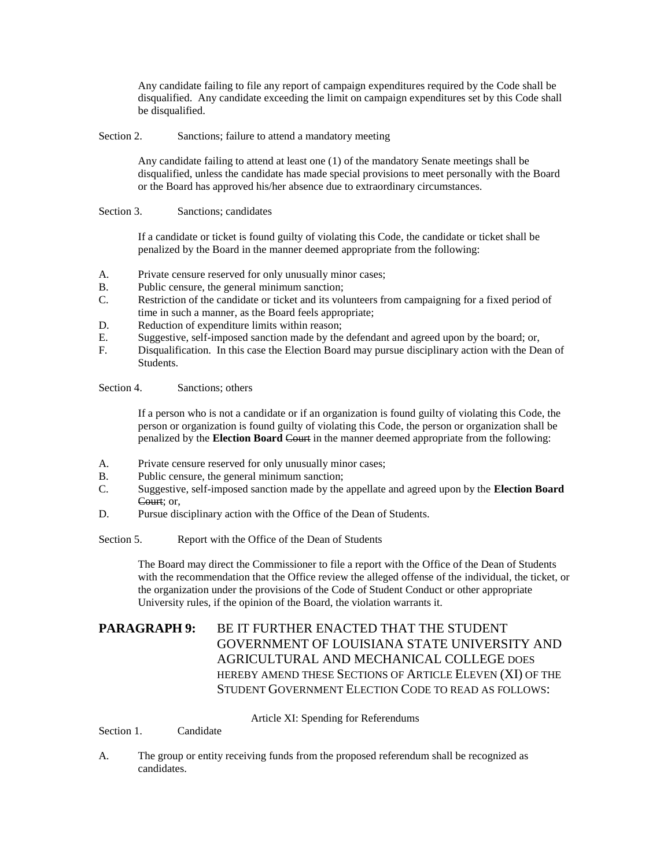Any candidate failing to file any report of campaign expenditures required by the Code shall be disqualified. Any candidate exceeding the limit on campaign expenditures set by this Code shall be disqualified.

Section 2. Sanctions; failure to attend a mandatory meeting

Any candidate failing to attend at least one (1) of the mandatory Senate meetings shall be disqualified, unless the candidate has made special provisions to meet personally with the Board or the Board has approved his/her absence due to extraordinary circumstances.

Section 3. Sanctions: candidates

If a candidate or ticket is found guilty of violating this Code, the candidate or ticket shall be penalized by the Board in the manner deemed appropriate from the following:

- A. Private censure reserved for only unusually minor cases;
- B. Public censure, the general minimum sanction;
- C. Restriction of the candidate or ticket and its volunteers from campaigning for a fixed period of time in such a manner, as the Board feels appropriate;
- D. Reduction of expenditure limits within reason;
- E. Suggestive, self-imposed sanction made by the defendant and agreed upon by the board; or,
- F. Disqualification. In this case the Election Board may pursue disciplinary action with the Dean of Students.

Section 4. Sanctions; others

If a person who is not a candidate or if an organization is found guilty of violating this Code, the person or organization is found guilty of violating this Code, the person or organization shall be penalized by the **Election Board** Court in the manner deemed appropriate from the following:

- A. Private censure reserved for only unusually minor cases;
- B. Public censure, the general minimum sanction;
- C. Suggestive, self-imposed sanction made by the appellate and agreed upon by the **Election Board** Court; or,
- D. Pursue disciplinary action with the Office of the Dean of Students.
- Section 5. Report with the Office of the Dean of Students

The Board may direct the Commissioner to file a report with the Office of the Dean of Students with the recommendation that the Office review the alleged offense of the individual, the ticket, or the organization under the provisions of the Code of Student Conduct or other appropriate University rules, if the opinion of the Board, the violation warrants it.

## **PARAGRAPH 9:** BE IT FURTHER ENACTED THAT THE STUDENT GOVERNMENT OF LOUISIANA STATE UNIVERSITY AND AGRICULTURAL AND MECHANICAL COLLEGE DOES HEREBY AMEND THESE SECTIONS OF ARTICLE ELEVEN (XI) OF THE STUDENT GOVERNMENT ELECTION CODE TO READ AS FOLLOWS:

Article XI: Spending for Referendums

Section 1. Candidate

A. The group or entity receiving funds from the proposed referendum shall be recognized as candidates.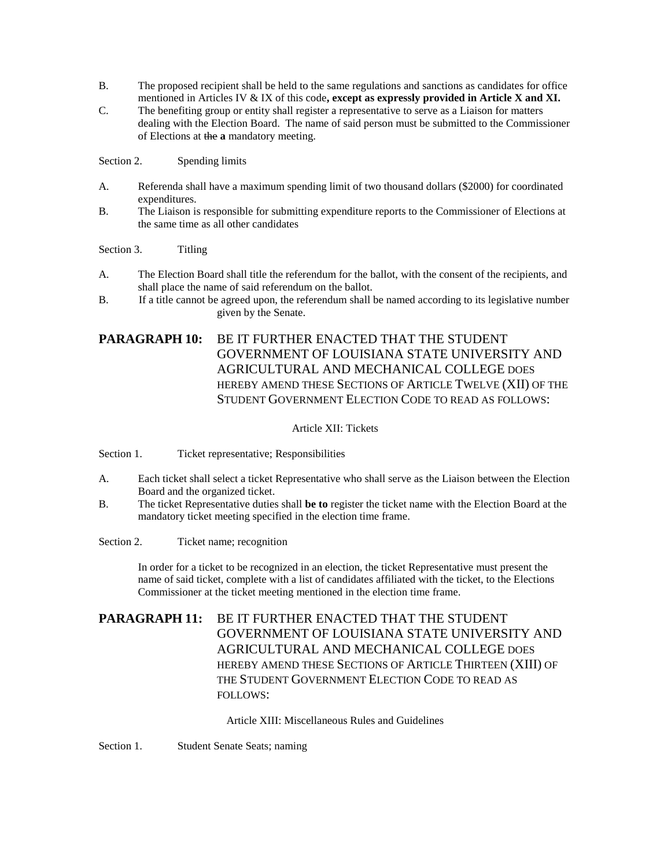- B. The proposed recipient shall be held to the same regulations and sanctions as candidates for office mentioned in Articles IV & IX of this code**, except as expressly provided in Article X and XI.**
- C. The benefiting group or entity shall register a representative to serve as a Liaison for matters dealing with the Election Board. The name of said person must be submitted to the Commissioner of Elections at the **a** mandatory meeting.

Section 2. Spending limits

- A. Referenda shall have a maximum spending limit of two thousand dollars (\$2000) for coordinated expenditures.
- B. The Liaison is responsible for submitting expenditure reports to the Commissioner of Elections at the same time as all other candidates

Section 3. Titling

- A. The Election Board shall title the referendum for the ballot, with the consent of the recipients, and shall place the name of said referendum on the ballot.
- B. If a title cannot be agreed upon, the referendum shall be named according to its legislative number given by the Senate.

## **PARAGRAPH 10:** BE IT FURTHER ENACTED THAT THE STUDENT GOVERNMENT OF LOUISIANA STATE UNIVERSITY AND AGRICULTURAL AND MECHANICAL COLLEGE DOES HEREBY AMEND THESE SECTIONS OF ARTICLE TWELVE (XII) OF THE STUDENT GOVERNMENT ELECTION CODE TO READ AS FOLLOWS:

#### Article XII: Tickets

Section 1. Ticket representative; Responsibilities

- A. Each ticket shall select a ticket Representative who shall serve as the Liaison between the Election Board and the organized ticket.
- B. The ticket Representative duties shall **be to** register the ticket name with the Election Board at the mandatory ticket meeting specified in the election time frame.

Section 2. Ticket name; recognition

In order for a ticket to be recognized in an election, the ticket Representative must present the name of said ticket, complete with a list of candidates affiliated with the ticket, to the Elections Commissioner at the ticket meeting mentioned in the election time frame.

**PARAGRAPH 11:** BE IT FURTHER ENACTED THAT THE STUDENT GOVERNMENT OF LOUISIANA STATE UNIVERSITY AND AGRICULTURAL AND MECHANICAL COLLEGE DOES HEREBY AMEND THESE SECTIONS OF ARTICLE THIRTEEN (XIII) OF THE STUDENT GOVERNMENT ELECTION CODE TO READ AS FOLLOWS:

Article XIII: Miscellaneous Rules and Guidelines

Section 1. Student Senate Seats; naming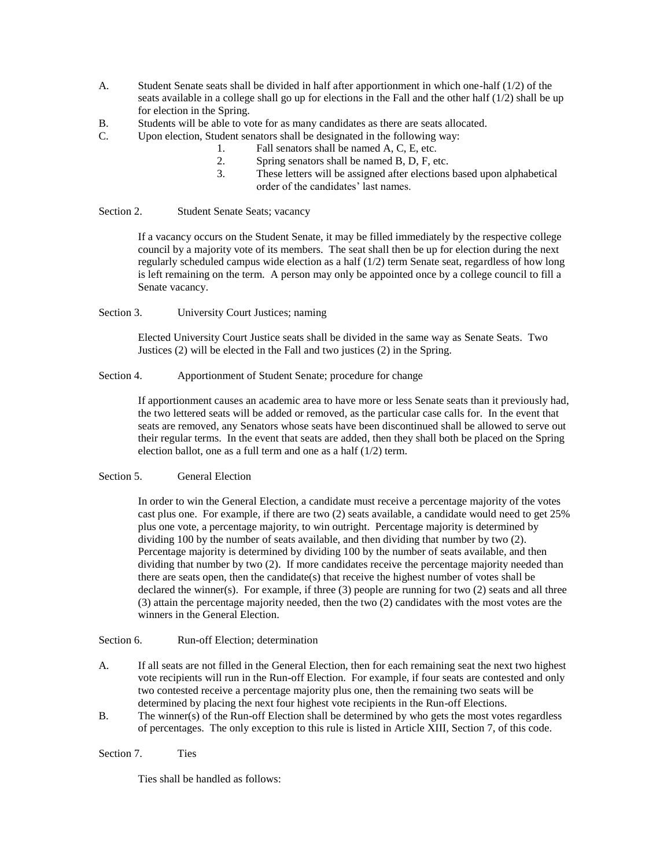- A. Student Senate seats shall be divided in half after apportionment in which one-half (1/2) of the seats available in a college shall go up for elections in the Fall and the other half  $(1/2)$  shall be up for election in the Spring.
- B. Students will be able to vote for as many candidates as there are seats allocated.
- C. Upon election, Student senators shall be designated in the following way:
	- 1. Fall senators shall be named A, C, E, etc.
	- 2. Spring senators shall be named B, D, F, etc.
	- 3. These letters will be assigned after elections based upon alphabetical order of the candidates' last names.

Section 2. Student Senate Seats; vacancy

If a vacancy occurs on the Student Senate, it may be filled immediately by the respective college council by a majority vote of its members. The seat shall then be up for election during the next regularly scheduled campus wide election as a half (1/2) term Senate seat, regardless of how long is left remaining on the term. A person may only be appointed once by a college council to fill a Senate vacancy.

Section 3. University Court Justices; naming

Elected University Court Justice seats shall be divided in the same way as Senate Seats. Two Justices (2) will be elected in the Fall and two justices (2) in the Spring.

#### Section 4. Apportionment of Student Senate; procedure for change

If apportionment causes an academic area to have more or less Senate seats than it previously had, the two lettered seats will be added or removed, as the particular case calls for. In the event that seats are removed, any Senators whose seats have been discontinued shall be allowed to serve out their regular terms. In the event that seats are added, then they shall both be placed on the Spring election ballot, one as a full term and one as a half (1/2) term.

#### Section 5. General Election

In order to win the General Election, a candidate must receive a percentage majority of the votes cast plus one. For example, if there are two (2) seats available, a candidate would need to get 25% plus one vote, a percentage majority, to win outright. Percentage majority is determined by dividing 100 by the number of seats available, and then dividing that number by two (2). Percentage majority is determined by dividing 100 by the number of seats available, and then dividing that number by two (2). If more candidates receive the percentage majority needed than there are seats open, then the candidate(s) that receive the highest number of votes shall be declared the winner(s). For example, if three (3) people are running for two (2) seats and all three (3) attain the percentage majority needed, then the two (2) candidates with the most votes are the winners in the General Election.

Section 6. Run-off Election; determination

- A. If all seats are not filled in the General Election, then for each remaining seat the next two highest vote recipients will run in the Run-off Election. For example, if four seats are contested and only two contested receive a percentage majority plus one, then the remaining two seats will be determined by placing the next four highest vote recipients in the Run-off Elections.
- B. The winner(s) of the Run-off Election shall be determined by who gets the most votes regardless of percentages. The only exception to this rule is listed in Article XIII, Section 7, of this code.

Section 7. Ties

Ties shall be handled as follows: